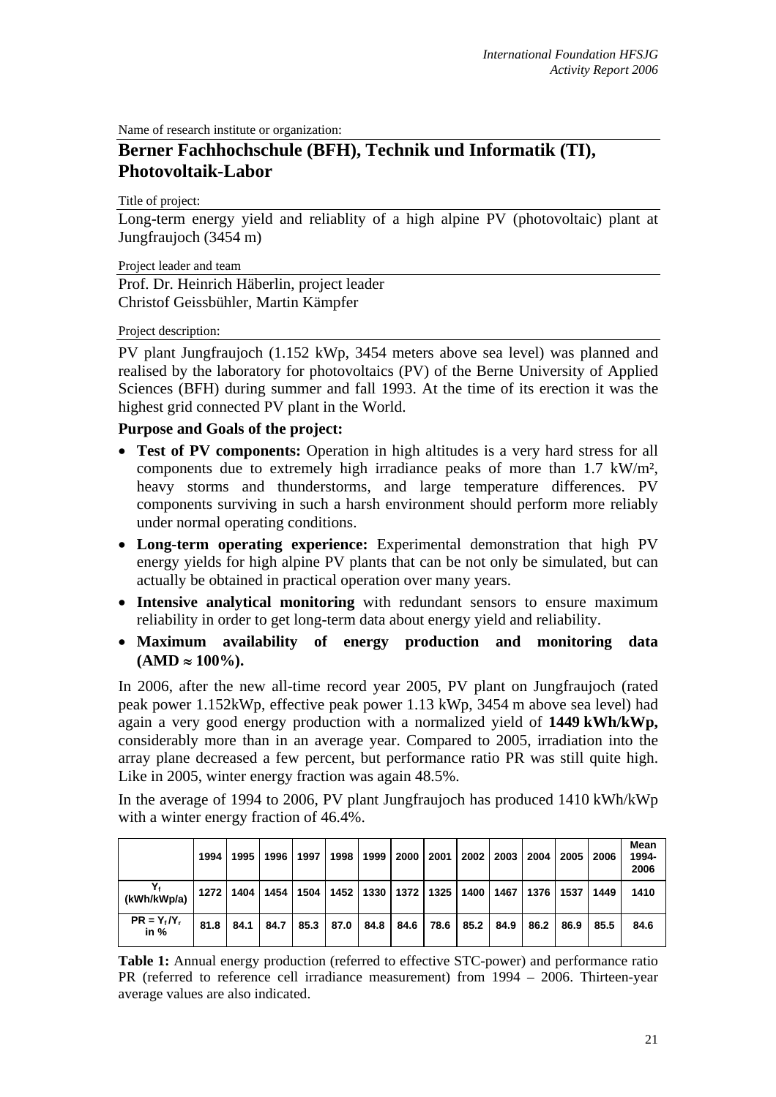Name of research institute or organization:

## **Berner Fachhochschule (BFH), Technik und Informatik (TI), Photovoltaik-Labor**

Title of project:

Long-term energy yield and reliablity of a high alpine PV (photovoltaic) plant at Jungfraujoch (3454 m)

Project leader and team

Prof. Dr. Heinrich Häberlin, project leader Christof Geissbühler, Martin Kämpfer

## Project description:

PV plant Jungfraujoch (1.152 kWp, 3454 meters above sea level) was planned and realised by the laboratory for photovoltaics (PV) of the Berne University of Applied Sciences (BFH) during summer and fall 1993. At the time of its erection it was the highest grid connected PV plant in the World.

## **Purpose and Goals of the project:**

- **Test of PV components:** Operation in high altitudes is a very hard stress for all components due to extremely high irradiance peaks of more than 1.7 kW/m², heavy storms and thunderstorms, and large temperature differences. PV components surviving in such a harsh environment should perform more reliably under normal operating conditions.
- **Long-term operating experience:** Experimental demonstration that high PV energy yields for high alpine PV plants that can be not only be simulated, but can actually be obtained in practical operation over many years.
- **Intensive analytical monitoring** with redundant sensors to ensure maximum reliability in order to get long-term data about energy yield and reliability.
- **Maximum availability of energy production and monitoring data**   $(AMD ≈ 100\%).$

In 2006, after the new all-time record year 2005, PV plant on Jungfraujoch (rated peak power 1.152kWp, effective peak power 1.13 kWp, 3454 m above sea level) had again a very good energy production with a normalized yield of **1449 kWh/kWp,**  considerably more than in an average year. Compared to 2005, irradiation into the array plane decreased a few percent, but performance ratio PR was still quite high. Like in 2005, winter energy fraction was again 48.5%.

In the average of 1994 to 2006, PV plant Jungfraujoch has produced 1410 kWh/kWp with a winter energy fraction of 46.4%.

|                          | 1994 |      | 1995 1996                 | 1997 | 1998 | 1999                      | 2000 | 2001 | 2002 | 2003               | 2004 | 2005 | 2006 | Mean<br>1994-<br>2006 |
|--------------------------|------|------|---------------------------|------|------|---------------------------|------|------|------|--------------------|------|------|------|-----------------------|
| (kWh/kWp/a)              |      |      | 1272   1404   1454   1504 |      |      | 1452   1330   1372   1325 |      |      |      | 1400   1467   1376 |      | 1537 | 1449 | 1410                  |
| $PR = Y_f/Y_r$<br>in $%$ | 81.8 | 84.1 | 84.7                      | 85.3 | 87.0 | 84.8                      | 84.6 | 78.6 | 85.2 | 84.9               | 86.2 | 86.9 | 85.5 | 84.6                  |

**Table 1:** Annual energy production (referred to effective STC-power) and performance ratio PR (referred to reference cell irradiance measurement) from 1994 – 2006. Thirteen-year average values are also indicated.